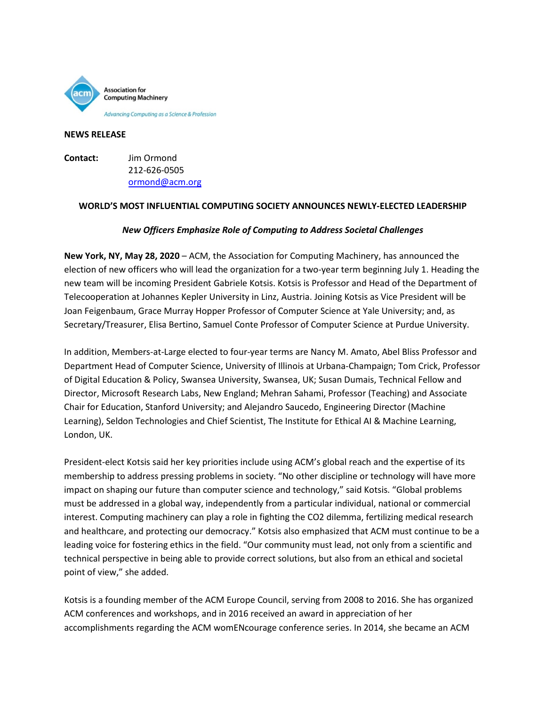

## **NEWS RELEASE**

**Contact:** Jim Ormond 212-626-0505 [ormond@acm.org](mailto:ormond@acm.org)

## **WORLD'S MOST INFLUENTIAL COMPUTING SOCIETY ANNOUNCES NEWLY-ELECTED LEADERSHIP**

## *New Officers Emphasize Role of Computing to Address Societal Challenges*

**New York, NY, May 28, 2020** – ACM, the Association for Computing Machinery, has announced the election of new officers who will lead the organization for a two-year term beginning July 1. Heading the new team will be incoming President Gabriele Kotsis. Kotsis is Professor and Head of the Department of Telecooperation at Johannes Kepler University in Linz, Austria. Joining Kotsis as Vice President will be Joan Feigenbaum, Grace Murray Hopper Professor of Computer Science at Yale University; and, as Secretary/Treasurer, Elisa Bertino, Samuel Conte Professor of Computer Science at Purdue University.

In addition, Members-at-Large elected to four-year terms are Nancy M. Amato, Abel Bliss Professor and Department Head of Computer Science, University of Illinois at Urbana-Champaign; Tom Crick, Professor of Digital Education & Policy, Swansea University, Swansea, UK; Susan Dumais, Technical Fellow and Director, Microsoft Research Labs, New England; Mehran Sahami, Professor (Teaching) and Associate Chair for Education, Stanford University; and Alejandro Saucedo, Engineering Director (Machine Learning), Seldon Technologies and Chief Scientist, The Institute for Ethical AI & Machine Learning, London, UK.

President-elect Kotsis said her key priorities include using ACM's global reach and the expertise of its membership to address pressing problems in society. "No other discipline or technology will have more impact on shaping our future than computer science and technology," said Kotsis. "Global problems must be addressed in a global way, independently from a particular individual, national or commercial interest. Computing machinery can play a role in fighting the CO2 dilemma, fertilizing medical research and healthcare, and protecting our democracy." Kotsis also emphasized that ACM must continue to be a leading voice for fostering ethics in the field. "Our community must lead, not only from a scientific and technical perspective in being able to provide correct solutions, but also from an ethical and societal point of view," she added.

Kotsis is a founding member of the ACM Europe Council, serving from 2008 to 2016. She has organized ACM conferences and workshops, and in 2016 received an award in appreciation of her accomplishments regarding the ACM womENcourage conference series. In 2014, she became an ACM